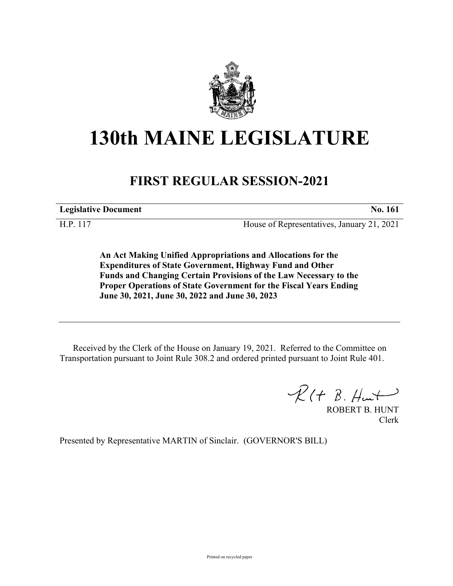

## **130th MAINE LEGISLATURE**

## **FIRST REGULAR SESSION-2021**

**Legislative Document No. 161**

H.P. 117 House of Representatives, January 21, 2021

**An Act Making Unified Appropriations and Allocations for the Expenditures of State Government, Highway Fund and Other Funds and Changing Certain Provisions of the Law Necessary to the Proper Operations of State Government for the Fiscal Years Ending June 30, 2021, June 30, 2022 and June 30, 2023**

Received by the Clerk of the House on January 19, 2021. Referred to the Committee on Transportation pursuant to Joint Rule 308.2 and ordered printed pursuant to Joint Rule 401.

 $\mathcal{R}(t \; \mathcal{B}, \#m\rightarrow)$ 

ROBERT B. HUNT Clerk

Presented by Representative MARTIN of Sinclair. (GOVERNOR'S BILL)